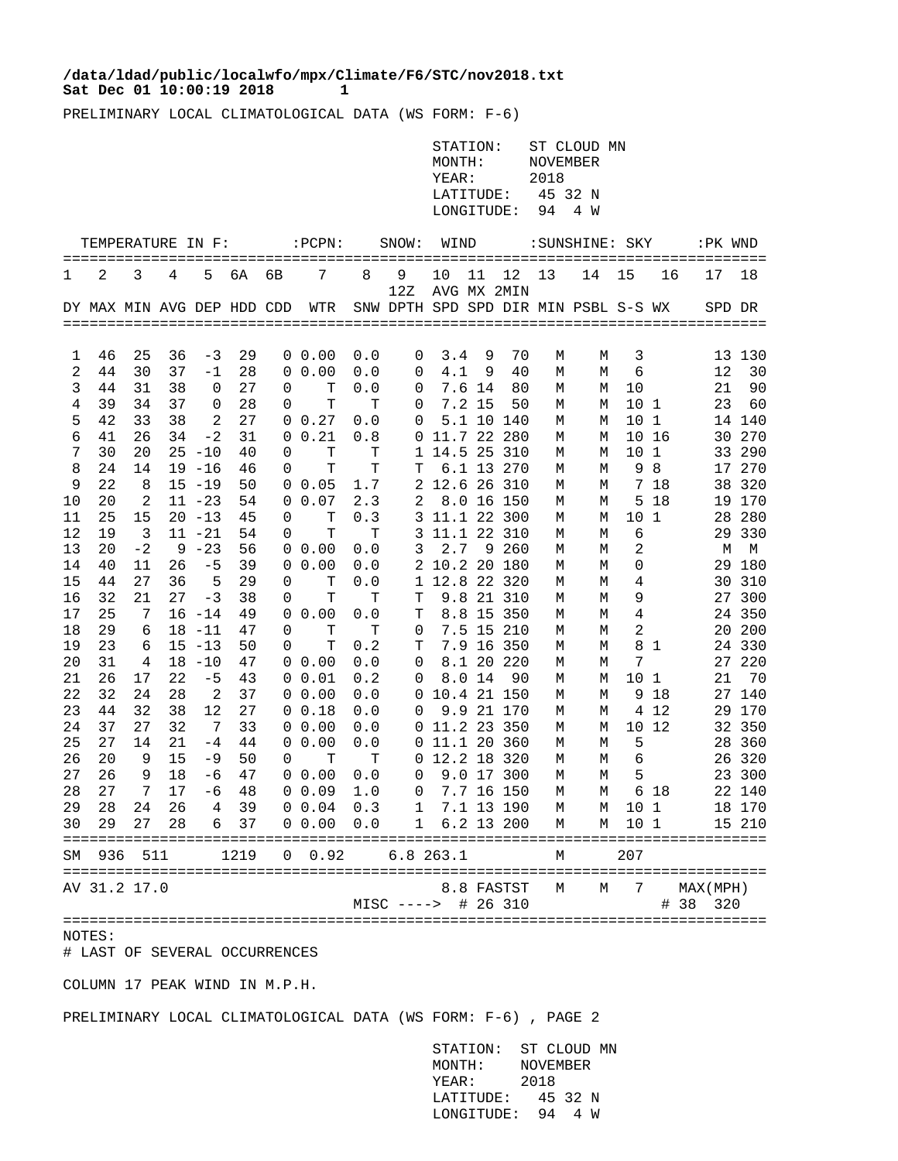## Sat Dec 01 10:00:19 2018 1 **/data/ldad/public/localwfo/mpx/Climate/F6/STC/nov2018.txt**

PRELIMINARY LOCAL CLIMATOLOGICAL DATA (WS FORM: F-6)

|          |                            |                 |          |                        |          |    |                                                                   |            |                                      | STATION:<br>MONTH:<br>YEAR:<br>LATITUDE:<br>LONGITUDE: |        |                   | NOVEMBER<br>2018<br>94 | ST CLOUD MN<br>45 32 N<br>4 W |                 |                    |                      |                  |
|----------|----------------------------|-----------------|----------|------------------------|----------|----|-------------------------------------------------------------------|------------|--------------------------------------|--------------------------------------------------------|--------|-------------------|------------------------|-------------------------------|-----------------|--------------------|----------------------|------------------|
|          | TEMPERATURE IN F:          |                 |          |                        |          |    | $:$ PCPN $:$                                                      |            | SNOW:                                | WIND                                                   |        |                   |                        | : SUNSHINE: SKY               |                 |                    | :PK WND              |                  |
| 1        | 2                          | 3               | 4        | 5                      | 6A       | 6B | 7                                                                 | 8          | 9<br>12Z                             | 10                                                     | 11     | 12<br>AVG MX 2MIN | 13                     | 14                            | 15              | 16                 | 17                   | 18               |
|          | DY MAX MIN AVG DEP HDD CDD |                 |          |                        |          |    | WTR                                                               |            | SNW DPTH SPD SPD DIR MIN PSBL S-S WX |                                                        |        |                   |                        |                               |                 |                    |                      | SPD DR           |
| 1        | 46                         | 25              | 36       | -3                     | 29       |    | $0\;\;0.00$                                                       | 0.0        | 0                                    | 3.4                                                    | 9      | 70                | М                      | М                             | 3               |                    |                      | 13 130           |
| 2        | 44                         | 30              | 37       | $-1$                   | 28       |    | $0\ 0.00$                                                         | 0.0        | 0                                    | 4.1                                                    | 9      | 40                | М                      | М                             | $\epsilon$      |                    | 12                   | 30               |
| 3        | 44                         | 31              | 38       | 0                      | 27       | 0  | $\mathbf T$                                                       | 0.0        | 0                                    |                                                        | 7.6 14 | 80                | М                      | М                             | 10              |                    | 21                   | 90               |
| 4        | 39                         | 34              | 37       | 0                      | 28       | 0  | T                                                                 | т          | 0                                    |                                                        | 7.2 15 | 50                | М                      | М                             | 101             |                    | 23                   | 60               |
| 5        | 42                         | 33              | 38       | 2                      | 27       |    | 0 0.27                                                            | 0.0        | 0                                    |                                                        |        | 5.1 10 140        | М                      | М                             | 10 <sub>1</sub> |                    |                      | 14 140           |
| 6        | 41                         | 26              | 34       | $-2$                   | 31       | 0  | 0.21                                                              | 0.8        |                                      | 0 11.7 22 280                                          |        |                   | М                      | М                             |                 | 10 16              | 30                   | 270              |
| 7        | 30<br>24                   | 20<br>14        |          | $25 - 10$<br>$19 - 16$ | 40<br>46 | 0  | Т<br>T                                                            | т<br>T     |                                      | 1 14.5 25 310                                          |        | 6.1 13 270        | М                      | М                             | 10<br>9         | 1<br>8             |                      | 33 290<br>17 270 |
| 8<br>9   | 22                         | 8               |          | $15 - 19$              | 50       | 0  | 0 0.05                                                            | 1.7        | т                                    | 2 12.6 26 310                                          |        |                   | М<br>М                 | М<br>М                        |                 | 7 18               |                      | 38 320           |
| 10       | 20                         | 2               |          | $11 - 23$              | 54       |    | 0 0.07                                                            | 2.3        | 2                                    |                                                        |        | 8.0 16 150        | М                      | М                             | 5               | 18                 |                      | 19 170           |
| 11       | 25                         | 15              |          | $20 - 13$              | 45       | 0  | Т                                                                 | 0.3        |                                      | 3 11.1 22 300                                          |        |                   | М                      | М                             | 10              | 1                  |                      | 28 280           |
| 12       | 19                         | 3               |          | $11 - 21$              | 54       | 0  | T                                                                 | т          |                                      | 3 11.1 22 310                                          |        |                   | М                      | М                             | 6               |                    |                      | 29 330           |
| 13       | 20                         | $-2$            |          | $9 - 23$               | 56       |    | $0\;\;0.00$                                                       | 0.0        | 3                                    | 2.7                                                    |        | 9 260             | М                      | М                             | 2               |                    | М                    | M                |
| 14       | 40                         | 11              | 26       | $-5$                   | 39       | 0  | 0.00                                                              | 0.0        |                                      | 2 10.2 20 180                                          |        |                   | М                      | М                             | 0               |                    |                      | 29 180           |
| 15       | 44                         | 27              | 36       | 5                      | 29       | 0  | $\mathbf T$                                                       | 0.0        |                                      | 1 12.8 22 320                                          |        |                   | М                      | М                             | 4               |                    |                      | 30 310           |
| 16       | 32                         | 21              | 27       | $-3$                   | 38       | 0  | Т                                                                 | т          | Т                                    |                                                        |        | 9.8 21 310        | М                      | М                             | 9               |                    |                      | 27 300           |
| 17       | 25                         | 7               |          | $16 - 14$              | 49       | 0  | 0.00                                                              | 0.0        | Т                                    |                                                        |        | 8.8 15 350        | М                      | М                             | 4               |                    |                      | 24 350           |
| 18       | 29                         | 6               |          | $18 - 11$              | 47       | 0  | Т                                                                 | т          | 0                                    |                                                        |        | 7.5 15 210        | М                      | М                             | 2               |                    |                      | 20 200           |
| 19       | 23                         | 6               |          | $15 - 13$              | 50       | 0  | T                                                                 | 0.2        | Т                                    |                                                        |        | 7.9 16 350        | М                      | М                             |                 | 8 1                |                      | 24 330           |
| 20       | 31                         | 4               |          | $18 - 10$              | 47       |    | $0\ 0.00$                                                         | 0.0        | 0                                    |                                                        |        | 8.1 20 220        | М                      | М                             | 7               |                    |                      | 27 220           |
| 21<br>22 | 26<br>32                   | 17<br>24        | 22<br>28 | $-5$<br>2              | 43<br>37 |    | 0 0.01<br>$0\ 0.00$                                               | 0.2<br>0.0 | 0                                    | 0 10.4 21 150                                          | 8.0 14 | 90                | М<br>М                 | М<br>М                        | 10<br>9         | $\mathbf{1}$<br>18 | 21                   | 70<br>27 140     |
| 23       | 44                         | 32              | 38       | 12                     | 27       |    | 0 0.18                                                            | 0.0        | 0                                    |                                                        |        | 9.9 21 170        | М                      | М                             | 4               | 12                 |                      | 29 170           |
| 24       | 37                         | 27              | 32       | $7\phantom{.0}$        | 33       |    | $0\ 0.00$                                                         | 0.0        |                                      | 0 11.2 23 350                                          |        |                   | М                      | М                             | $10 \,$         | 12                 |                      | 32 350           |
| 25       | 27                         | 14              | 21       | $-4$                   | 44       |    | 0 0.00                                                            | 0.0        |                                      | $0$ 11.1 20 360                                        |        |                   | М                      | М                             | 5               |                    |                      | 28 360           |
| 26       | 20                         | 9               | 15       | $-9$                   | 50       | 0  | Т                                                                 | т          |                                      | 0 12.2 18 320                                          |        |                   | М                      | М                             | 6               |                    |                      | 26 320           |
| 27       | 26                         | 9               | 18       | $-6$                   | 47       |    | 0 0.00                                                            | 0.0        | 0                                    |                                                        |        | 9.0 17 300        | М                      | М                             | 5               |                    |                      | 23 300           |
| 28       | 27                         | $7\overline{ }$ |          | $17 - 6$               | 48       |    | $0\ 0.09\ 1.0$                                                    |            |                                      | $0$ 7.7 16 150                                         |        |                   | M                      |                               | M               | 6 18               |                      | 22 140           |
|          |                            |                 |          |                        |          |    | 29  28  24  26  4  39  0  0.04  0.3  1  7.1  13  190  M  M  10  1 |            |                                      |                                                        |        |                   |                        |                               |                 |                    |                      | 18 170           |
|          |                            |                 |          |                        |          |    | 30  29  27  28  6  37  0  0.00  0.0  1  6.2  13  200  M  M  10  1 |            |                                      |                                                        |        |                   |                        |                               |                 |                    |                      | 15 210           |
|          | SM 936 511                 |                 |          |                        |          |    | 1219 0 0.92 6.8 263.1                                             |            |                                      |                                                        |        |                   | M                      |                               | 207             |                    |                      |                  |
|          | AV 31.2 17.0               |                 |          |                        |          |    |                                                                   |            | MISC ----> # 26 310                  |                                                        |        | 8.8 FASTST        | М                      | М                             | $\overline{7}$  |                    | MAX(MPH)<br># 38 320 |                  |
| NOTES:   |                            |                 |          |                        |          |    |                                                                   |            |                                      |                                                        |        |                   |                        |                               |                 |                    |                      |                  |

# LAST OF SEVERAL OCCURRENCES

COLUMN 17 PEAK WIND IN M.P.H.

PRELIMINARY LOCAL CLIMATOLOGICAL DATA (WS FORM: F-6) , PAGE 2

 STATION: ST CLOUD MN MONTH: NOVEMBER YEAR: 2018 LATITUDE: 45 32 N LONGITUDE: 94 4 W